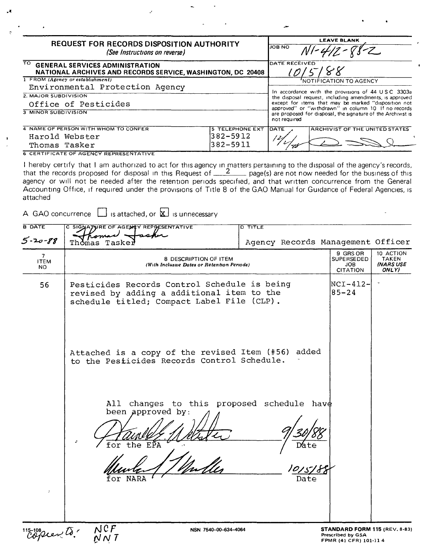| <b>REQUEST FOR RECORDS DISPOSITION AUTHORITY</b><br>(See Instructions on reverse)                 |                 | <b>LEAVE BLANK</b><br><b>JOB NO</b><br>$12 - 88 - 2$                                                                                 |                                                                                                              |  |
|---------------------------------------------------------------------------------------------------|-----------------|--------------------------------------------------------------------------------------------------------------------------------------|--------------------------------------------------------------------------------------------------------------|--|
| TO GENERAL SERVICES ADMINISTRATION<br>NATIONAL ARCHIVES AND RECORDS SERVICE, WASHINGTON, DC 20408 |                 | DATE RECEIVED                                                                                                                        |                                                                                                              |  |
| 1 FROM (Agency or establishment)                                                                  |                 |                                                                                                                                      | 'NOTIFICATION TO AGENCY                                                                                      |  |
| Environmental Protection Agency                                                                   |                 |                                                                                                                                      |                                                                                                              |  |
| 2. MAJOR SUBDIVISION                                                                              |                 |                                                                                                                                      | In accordance with the provisions of 44 USC 3303a<br>the disposal request, including amendments, is approved |  |
| Office of Pesticides                                                                              |                 |                                                                                                                                      | except for items that may be marked "disposition not                                                         |  |
| 3 MINOR SUBDIVISION                                                                               |                 | approved" or "withdrawn" in column 10. If no records<br>are proposed for disposal, the signature of the Archivist is<br>not required |                                                                                                              |  |
| 4 NAME OF PERSON WITH WHOM TO CONFER                                                              | 5 TELEPHONE EXT | <b>IDATE</b>                                                                                                                         | <b>ARCHIVIST OF THE UNITED STATES</b>                                                                        |  |
| Harold Webster                                                                                    | $382 - 5912$    |                                                                                                                                      |                                                                                                              |  |
| Thomas Tasker                                                                                     | 382-5911        |                                                                                                                                      |                                                                                                              |  |

**6 CERTIFICATE OF AGENCY REPRESENTATIVE** 

I hereby certify that I am authorized to act for this agency in matters pertaining to the disposal of the agency's records, that the records proposed for disposal in this Request of  $\frac{2}{2}$  page(s) are not now needed fo agency or will not be needed after the retention periods specified, and that written concurrence from the General Accounting Office, if required under the provisions of Title 8 of the GAO Manual for Guidance of Federal Agencies, is attached

A GAO concurrence  $\Box$  is attached, or  $\boxtimes$  is unnecessary

| <b>B</b> DATE                                    | C SIGNATURE OF AGENCY REPRESENTATIVE                                                                                                     | $D$ TITLE                         |                                                                                     |                                                        |
|--------------------------------------------------|------------------------------------------------------------------------------------------------------------------------------------------|-----------------------------------|-------------------------------------------------------------------------------------|--------------------------------------------------------|
| $5 - 20 - 88$                                    | Thomas<br>Tasker                                                                                                                         | Agency Records Management Officer |                                                                                     |                                                        |
| $\overline{7}$<br><b>ITEM</b><br>NO.             | 8 DESCRIPTION OF ITEM<br>(With Inclusive Dates or Retention Periods)                                                                     |                                   | 9 GRS OR<br><b>SUPERSEDED</b><br><b>JOB</b><br><b>CITATION</b>                      | 10 ACTION<br><b>TAKEN</b><br><b>INARS USE</b><br>ONLY) |
| 56                                               | Pesticides Records Control Schedule is being<br>revised by adding a additional item to the<br>schedule titled; Compact Label File (CLP). | $NCI-412-$<br>$85 - 24$           |                                                                                     |                                                        |
|                                                  | Attached is a copy of the revised Item (#56) added<br>to the Pesticides Records Control Schedule.                                        |                                   |                                                                                     |                                                        |
| $\mathcal{E}$                                    | changes to this proposed schedule have<br>$\texttt{All}{}$<br>been approved by:<br>÷.<br>for the EPA<br>n<br>for<br>NARA                 | Date<br>Date                      |                                                                                     |                                                        |
| $\mathcal{C}^{115-108}_{O}$ Ver $\bar{\omega}$ . | NCF<br>NSN 7540-00-634-4064<br>N N T                                                                                                     |                                   | <b>STANDARD FORM 115 (REV. 8-83)</b><br>Prescribed by GSA<br>FPMR (41 CFR) 101-11 4 |                                                        |

FPMR (41 CFR) 101-11 4